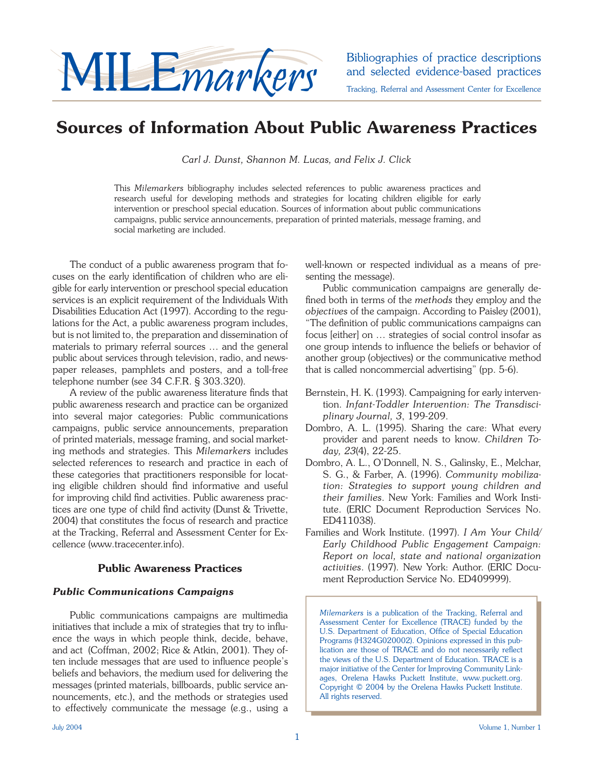

and selected evidence-based practices Tracking, Referral and Assessment Center for Excellence

**Sources of Information About Public Awareness Practices**

*Carl J. Dunst, Shannon M. Lucas, and Felix J. Click*

This *Milemarkers* bibliography includes selected references to public awareness practices and research useful for developing methods and strategies for locating children eligible for early intervention or preschool special education. Sources of information about public communications campaigns, public service announcements, preparation of printed materials, message framing, and social marketing are included.

 The conduct of a public awareness program that focuses on the early identification of children who are eligible for early intervention or preschool special education services is an explicit requirement of the Individuals With Disabilities Education Act (1997). According to the regulations for the Act, a public awareness program includes, but is not limited to, the preparation and dissemination of materials to primary referral sources … and the general public about services through television, radio, and newspaper releases, pamphlets and posters, and a toll-free telephone number (see 34 C.F.R. § 303.320).

A review of the public awareness literature finds that public awareness research and practice can be organized into several major categories: Public communications campaigns, public service announcements, preparation of printed materials, message framing, and social marketing methods and strategies. This *Milemarkers* includes selected references to research and practice in each of these categories that practitioners responsible for locating eligible children should find informative and useful for improving child find activities. Public awareness practices are one type of child find activity (Dunst & Trivette, 2004) that constitutes the focus of research and practice at the Tracking, Referral and Assessment Center for Excellence (www.tracecenter.info).

## **Public Awareness Practices**

## *Public Communications Campaigns*

 Public communications campaigns are multimedia initiatives that include a mix of strategies that try to influence the ways in which people think, decide, behave, and act (Coffman, 2002; Rice & Atkin, 2001). They often include messages that are used to influence people's beliefs and behaviors, the medium used for delivering the messages (printed materials, billboards, public service announcements, etc.), and the methods or strategies used to effectively communicate the message (e.g., using a well-known or respected individual as a means of presenting the message).

 Public communication campaigns are generally defined both in terms of the *methods* they employ and the *objectives* of the campaign. According to Paisley (2001), "The definition of public communications campaigns can focus [either] on … strategies of social control insofar as one group intends to influence the beliefs or behavior of another group (objectives) or the communicative method that is called noncommercial advertising" (pp. 5-6).

- Bernstein, H. K. (1993). Campaigning for early intervention. *Infant-Toddler Intervention: The Transdisciplinary Journal, 3*, 199-209.
- Dombro, A. L. (1995). Sharing the care: What every provider and parent needs to know. *Children Today, 23*(4), 22-25.
- Dombro, A. L., O'Donnell, N. S., Galinsky, E., Melchar, S. G., & Farber, A. (1996). *Community mobilization: Strategies to support young children and their families*. New York: Families and Work Institute. (ERIC Document Reproduction Services No. ED411038).
- Families and Work Institute. (1997). *I Am Your Child/ Early Childhood Public Engagement Campaign: Report on local, state and national organization activities*. (1997). New York: Author. (ERIC Document Reproduction Service No. ED409999).

*Milemarkers* is a publication of the Tracking, Referral and Assessment Center for Excellence (TRACE) funded by the U.S. Department of Education, Office of Special Education Programs (H324G020002). Opinions expressed in this publication are those of TRACE and do not necessarily reflect the views of the U.S. Department of Education. TRACE is a major initiative of the Center for Improving Community Linkages, Orelena Hawks Puckett Institute, www.puckett.org. Copyright © 2004 by the Orelena Hawks Puckett Institute. All rights reserved.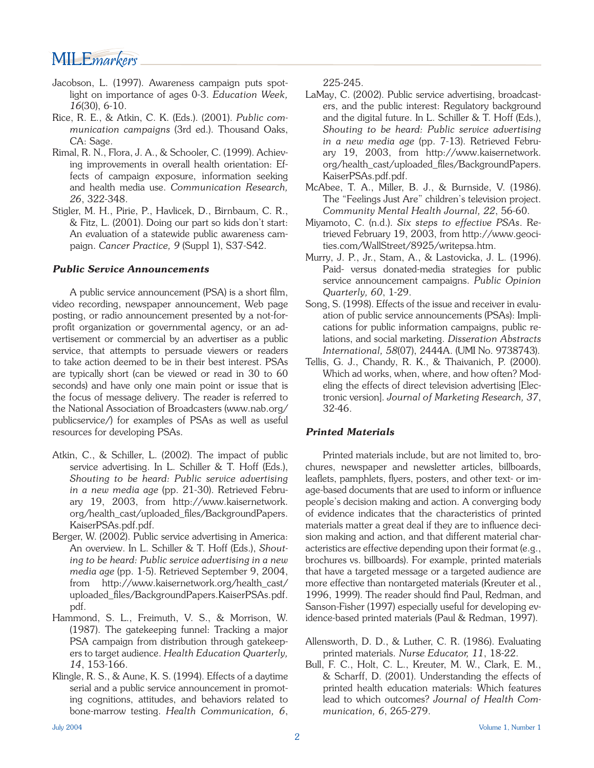## MILE*markers*

- Jacobson, L. (1997). Awareness campaign puts spotlight on importance of ages 0-3. *Education Week, 16*(30), 6-10.
- Rice, R. E., & Atkin, C. K. (Eds.). (2001). *Public communication campaigns* (3rd ed.). Thousand Oaks, CA: Sage.
- Rimal, R. N., Flora, J. A., & Schooler, C. (1999). Achieving improvements in overall health orientation: Effects of campaign exposure, information seeking and health media use. *Communication Research, 26*, 322-348.
- Stigler, M. H., Pirie, P., Havlicek, D., Birnbaum, C. R., & Fitz, L. (2001). Doing our part so kids don't start: An evaluation of a statewide public awareness campaign. *Cancer Practice, 9* (Suppl 1), S37-S42.

#### *Public Service Announcements*

A public service announcement (PSA) is a short film, video recording, newspaper announcement, Web page posting, or radio announcement presented by a not-forprofit organization or governmental agency, or an advertisement or commercial by an advertiser as a public service, that attempts to persuade viewers or readers to take action deemed to be in their best interest. PSAs are typically short (can be viewed or read in 30 to 60 seconds) and have only one main point or issue that is the focus of message delivery. The reader is referred to the National Association of Broadcasters (www.nab.org/ publicservice/) for examples of PSAs as well as useful resources for developing PSAs.

- Atkin, C., & Schiller, L. (2002). The impact of public service advertising. In L. Schiller & T. Hoff (Eds.), *Shouting to be heard: Public service advertising in a new media age* (pp. 21-30). Retrieved February 19, 2003, from http://www.kaisernetwork. org/health\_cast/uploaded\_files/BackgroundPapers. KaiserPSAs.pdf.pdf.
- Berger, W. (2002). Public service advertising in America: An overview. In L. Schiller & T. Hoff (Eds.), *Shouting to be heard: Public service advertising in a new media age* (pp. 1-5). Retrieved September 9, 2004, from http://www.kaisernetwork.org/health\_cast/ uploaded\_files/BackgroundPapers.KaiserPSAs.pdf. pdf.
- Hammond, S. L., Freimuth, V. S., & Morrison, W. (1987). The gatekeeping funnel: Tracking a major PSA campaign from distribution through gatekeepers to target audience. *Health Education Quarterly, 14*, 153-166.
- Klingle, R. S., & Aune, K. S. (1994). Effects of a daytime serial and a public service announcement in promoting cognitions, attitudes, and behaviors related to bone-marrow testing. *Health Communication, 6*,

225-245.

- LaMay, C. (2002). Public service advertising, broadcasters, and the public interest: Regulatory background and the digital future. In L. Schiller & T. Hoff (Eds.), *Shouting to be heard: Public service advertising in a new media age* (pp. 7-13). Retrieved February 19, 2003, from http://www.kaisernetwork. org/health\_cast/uploaded\_files/BackgroundPapers. KaiserPSAs.pdf.pdf.
- McAbee, T. A., Miller, B. J., & Burnside, V. (1986). The "Feelings Just Are" children's television project. *Community Mental Health Journal, 22*, 56-60.
- Miyamoto, C. (n.d.). *Six steps to effective PSAs*. Retrieved February 19, 2003, from http://www.geocities.com/WallStreet/8925/writepsa.htm.
- Murry, J. P., Jr., Stam, A., & Lastovicka, J. L. (1996). Paid- versus donated-media strategies for public service announcement campaigns. *Public Opinion Quarterly, 60*, 1-29.
- Song, S. (1998). Effects of the issue and receiver in evaluation of public service announcements (PSAs): Implications for public information campaigns, public relations, and social marketing. *Disseration Abstracts International, 58*(07), 2444A. (UMI No. 9738743).
- Tellis, G. J., Chandy, R. K., & Thaivanich, P. (2000). Which ad works, when, where, and how often? Modeling the effects of direct television advertising [Electronic version]. *Journal of Marketing Research, 37*, 32-46.

## *Printed Materials*

 Printed materials include, but are not limited to, brochures, newspaper and newsletter articles, billboards, leaflets, pamphlets, flyers, posters, and other text- or image-based documents that are used to inform or influence people's decision making and action. A converging body of evidence indicates that the characteristics of printed materials matter a great deal if they are to influence decision making and action, and that different material characteristics are effective depending upon their format (e.g., brochures vs. billboards). For example, printed materials that have a targeted message or a targeted audience are more effective than nontargeted materials (Kreuter et al., 1996, 1999). The reader should find Paul, Redman, and Sanson-Fisher (1997) especially useful for developing evidence-based printed materials (Paul & Redman, 1997).

- Allensworth, D. D., & Luther, C. R. (1986). Evaluating printed materials. *Nurse Educator, 11*, 18-22.
- Bull, F. C., Holt, C. L., Kreuter, M. W., Clark, E. M., & Scharff, D. (2001). Understanding the effects of printed health education materials: Which features lead to which outcomes? *Journal of Health Communication, 6*, 265-279.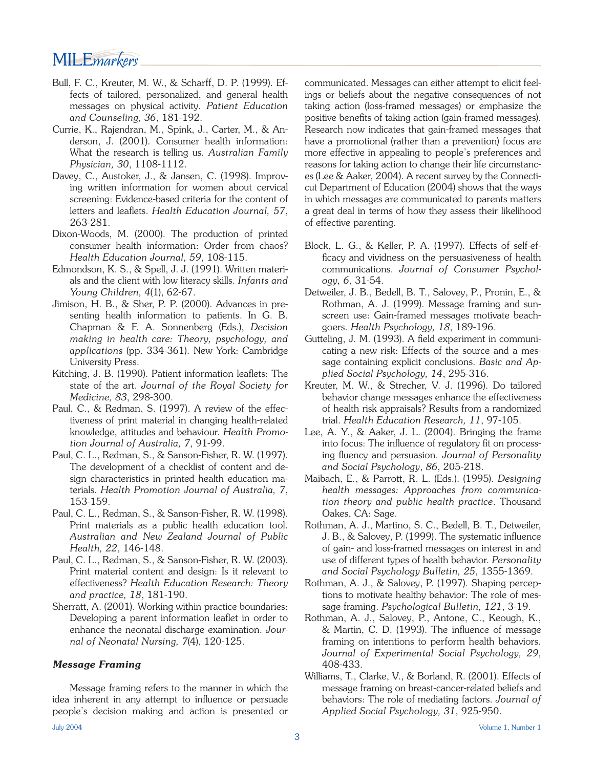## MILE*markers*

- Bull, F. C., Kreuter, M. W., & Scharff, D. P. (1999). Effects of tailored, personalized, and general health messages on physical activity. *Patient Education and Counseling, 36*, 181-192.
- Currie, K., Rajendran, M., Spink, J., Carter, M., & Anderson, J. (2001). Consumer health information: What the research is telling us. *Australian Family Physician, 30*, 1108-1112.
- Davey, C., Austoker, J., & Jansen, C. (1998). Improving written information for women about cervical screening: Evidence-based criteria for the content of letters and leaflets. *Health Education Journal*, 57, 263-281.
- Dixon-Woods, M. (2000). The production of printed consumer health information: Order from chaos? *Health Education Journal, 59*, 108-115.
- Edmondson, K. S., & Spell, J. J. (1991). Written materials and the client with low literacy skills. *Infants and Young Children, 4*(1), 62-67.
- Jimison, H. B., & Sher, P. P. (2000). Advances in presenting health information to patients. In G. B. Chapman & F. A. Sonnenberg (Eds.), *Decision making in health care: Theory, psychology, and applications* (pp. 334-361). New York: Cambridge University Press.
- Kitching, J. B. (1990). Patient information leaflets: The state of the art. *Journal of the Royal Society for Medicine, 83*, 298-300.
- Paul, C., & Redman, S. (1997). A review of the effectiveness of print material in changing health-related knowledge, attitudes and behaviour. *Health Promotion Journal of Australia, 7*, 91-99.
- Paul, C. L., Redman, S., & Sanson-Fisher, R. W. (1997). The development of a checklist of content and design characteristics in printed health education materials. *Health Promotion Journal of Australia, 7*, 153-159.
- Paul, C. L., Redman, S., & Sanson-Fisher, R. W. (1998). Print materials as a public health education tool. *Australian and New Zealand Journal of Public Health, 22*, 146-148.
- Paul, C. L., Redman, S., & Sanson-Fisher, R. W. (2003). Print material content and design: Is it relevant to effectiveness? *Health Education Research: Theory and practice, 18*, 181-190.
- Sherratt, A. (2001). Working within practice boundaries: Developing a parent information leaflet in order to enhance the neonatal discharge examination. *Journal of Neonatal Nursing, 7*(4), 120-125.

## *Message Framing*

 Message framing refers to the manner in which the idea inherent in any attempt to influence or persuade people's decision making and action is presented or communicated. Messages can either attempt to elicit feelings or beliefs about the negative consequences of not taking action (loss-framed messages) or emphasize the positive benefits of taking action (gain-framed messages). Research now indicates that gain-framed messages that have a promotional (rather than a prevention) focus are more effective in appealing to people's preferences and reasons for taking action to change their life circumstances (Lee & Aaker, 2004). A recent survey by the Connecticut Department of Education (2004) shows that the ways in which messages are communicated to parents matters a great deal in terms of how they assess their likelihood of effective parenting.

- Block, L. G., & Keller, P. A. (1997). Effects of self-efficacy and vividness on the persuasiveness of health communications. *Journal of Consumer Psychology, 6*, 31-54.
- Detweiler, J. B., Bedell, B. T., Salovey, P., Pronin, E., & Rothman, A. J. (1999). Message framing and sunscreen use: Gain-framed messages motivate beachgoers. *Health Psychology, 18*, 189-196.
- Gutteling, J. M. (1993). A field experiment in communicating a new risk: Effects of the source and a message containing explicit conclusions. *Basic and Applied Social Psychology, 14*, 295-316.
- Kreuter, M. W., & Strecher, V. J. (1996). Do tailored behavior change messages enhance the effectiveness of health risk appraisals? Results from a randomized trial. *Health Education Research, 11*, 97-105.
- Lee, A. Y., & Aaker, J. L. (2004). Bringing the frame into focus: The influence of regulatory fit on processing fluency and persuasion. *Journal of Personality and Social Psychology*, *86*, 205-218.
- Maibach, E., & Parrott, R. L. (Eds.). (1995). *Designing health messages: Approaches from communication theory and public health practice*. Thousand Oakes, CA: Sage.
- Rothman, A. J., Martino, S. C., Bedell, B. T., Detweiler, J. B., & Salovey, P. (1999). The systematic influence of gain- and loss-framed messages on interest in and use of different types of health behavior. *Personality and Social Psychology Bulletin, 25*, 1355-1369.
- Rothman, A. J., & Salovey, P. (1997). Shaping perceptions to motivate healthy behavior: The role of message framing. *Psychological Bulletin, 121*, 3-19.
- Rothman, A. J., Salovey, P., Antone, C., Keough, K., & Martin, C. D. (1993). The influence of message framing on intentions to perform health behaviors. *Journal of Experimental Social Psychology, 29*, 408-433.
- Williams, T., Clarke, V., & Borland, R. (2001). Effects of message framing on breast-cancer-related beliefs and behaviors: The role of mediating factors. *Journal of Applied Social Psychology, 31*, 925-950.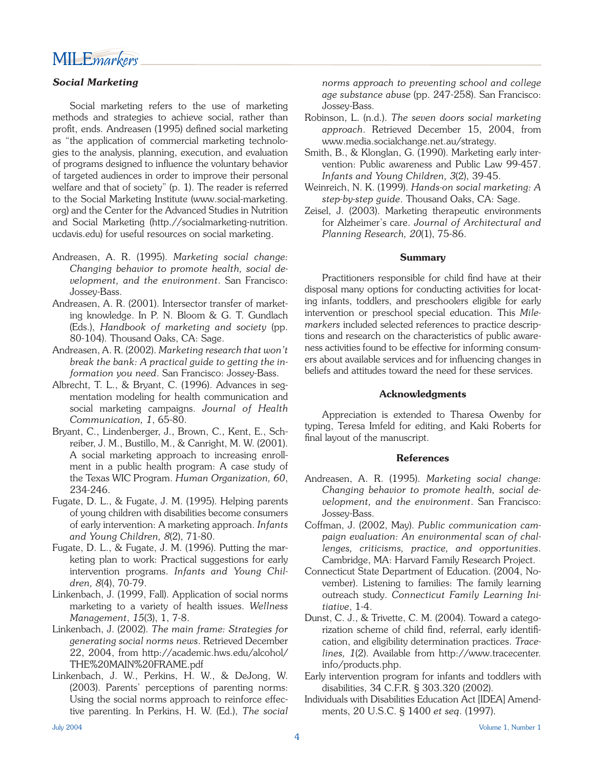

#### *Social Marketing*

 Social marketing refers to the use of marketing methods and strategies to achieve social, rather than profit, ends. Andreasen (1995) defined social marketing as "the application of commercial marketing technologies to the analysis, planning, execution, and evaluation of programs designed to influence the voluntary behavior of targeted audiences in order to improve their personal welfare and that of society" (p. 1). The reader is referred to the Social Marketing Institute (www.social-marketing. org) and the Center for the Advanced Studies in Nutrition and Social Marketing (http.//socialmarketing-nutrition. ucdavis.edu) for useful resources on social marketing.

- Andreasen, A. R. (1995). *Marketing social change: Changing behavior to promote health, social development, and the environment*. San Francisco: Jossey-Bass.
- Andreasen, A. R. (2001). Intersector transfer of marketing knowledge. In P. N. Bloom & G. T. Gundlach (Eds.), *Handbook of marketing and society* (pp. 80-104). Thousand Oaks, CA: Sage.
- Andreasen, A. R. (2002). *Marketing research that won't break the bank: A practical guide to getting the information you need*. San Francisco: Jossey-Bass.
- Albrecht, T. L., & Bryant, C. (1996). Advances in segmentation modeling for health communication and social marketing campaigns. *Journal of Health Communication, 1*, 65-80.
- Bryant, C., Lindenberger, J., Brown, C., Kent, E., Schreiber, J. M., Bustillo, M., & Canright, M. W. (2001). A social marketing approach to increasing enrollment in a public health program: A case study of the Texas WIC Program. *Human Organization, 60*, 234-246.
- Fugate, D. L., & Fugate, J. M. (1995). Helping parents of young children with disabilities become consumers of early intervention: A marketing approach. *Infants and Young Children, 8*(2), 71-80.
- Fugate, D. L., & Fugate, J. M. (1996). Putting the marketing plan to work: Practical suggestions for early intervention programs. *Infants and Young Children, 8*(4), 70-79.
- Linkenbach, J. (1999, Fall). Application of social norms marketing to a variety of health issues. *Wellness Management*, *15*(3), 1, 7-8.
- Linkenbach, J. (2002). *The main frame: Strategies for generating social norms news*. Retrieved December 22, 2004, from http://academic.hws.edu/alcohol/ THE%20MAIN%20FRAME.pdf
- Linkenbach, J. W., Perkins, H. W., & DeJong, W. (2003). Parents' perceptions of parenting norms: Using the social norms approach to reinforce effective parenting. In Perkins, H. W. (Ed.), *The social*

*norms approach to preventing school and college age substance abuse* (pp. 247-258). San Francisco: Jossey-Bass.

- Robinson, L. (n.d.). *The seven doors social marketing approach*. Retrieved December 15, 2004, from www.media.socialchange.net.au/strategy.
- Smith, B., & Klonglan, G. (1990). Marketing early intervention: Public awareness and Public Law 99-457. *Infants and Young Children, 3*(2), 39-45.
- Weinreich, N. K. (1999). *Hands-on social marketing: A step-by-step guide*. Thousand Oaks, CA: Sage.
- Zeisel, J. (2003). Marketing therapeutic environments for Alzheimer's care. *Journal of Architectural and Planning Research, 20*(1), 75-86.

#### **Summary**

Practitioners responsible for child find have at their disposal many options for conducting activities for locating infants, toddlers, and preschoolers eligible for early intervention or preschool special education. This *Milemarkers* included selected references to practice descriptions and research on the characteristics of public awareness activities found to be effective for informing consumers about available services and for influencing changes in beliefs and attitudes toward the need for these services.

#### **Acknowledgments**

 Appreciation is extended to Tharesa Owenby for typing, Teresa Imfeld for editing, and Kaki Roberts for final layout of the manuscript.

#### **References**

- Andreasen, A. R. (1995). *Marketing social change: Changing behavior to promote health, social development, and the environment*. San Francisco: Jossey-Bass.
- Coffman, J. (2002, May). *Public communication campaign evaluation: An environmental scan of challenges, criticisms, practice, and opportunities*. Cambridge, MA: Harvard Family Research Project.
- Connecticut State Department of Education. (2004, November). Listening to families: The family learning outreach study. *Connecticut Family Learning Initiative*, 1-4.
- Dunst, C. J., & Trivette, C. M. (2004). Toward a categorization scheme of child find, referral, early identification, and eligibility determination practices. *Tracelines, 1*(2). Available from http://www.tracecenter. info/products.php.
- Early intervention program for infants and toddlers with disabilities, 34 C.F.R. § 303.320 (2002).
- Individuals with Disabilities Education Act [IDEA] Amendments, 20 U.S.C. § 1400 *et seq*. (1997).